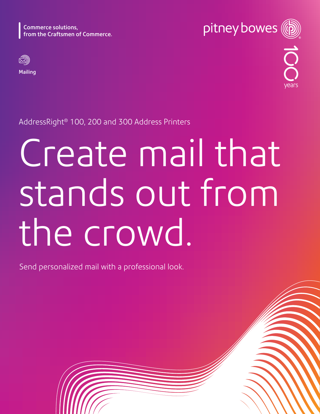Commerce solutions, from the Craftsmen of Commerce.



Mailing



AddressRight® 100, 200 and 300 Address Printers

# Create mail that stands out from the crowd.

Send personalized mail with a professional look.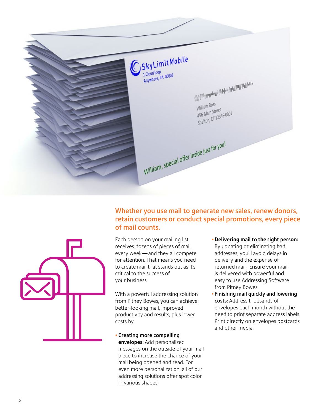

## Whether you use mail to generate new sales, renew donors, retain customers or conduct special promotions, every piece of mail counts.

Each person on your mailing list receives dozens of pieces of mail every week —and they all compete for attention. That means you need to create mail that stands out as it's critical to the success of your business.

With a powerful addressing solution from Pitney Bowes, you can achieve better-looking mail, improved productivity and results, plus lower costs by:

• Creating more compelling envelopes: Add personalized messages on the outside of your mail piece to increase the chance of your mail being opened and read. For even more personalization, all of our addressing solutions offer spot color in various shades.

**• Delivering mail to the right person:** 

By updating or eliminating bad addresses, you'll avoid delays in delivery and the expense of returned mail. Ensure your mail is delivered with powerful and easy to use Addressing Software from Pitney Bowes.

• Finishing mail quickly and lowering costs: Address thousands of envelopes each month without the need to print separate address labels. Print directly on envelopes postcards and other media.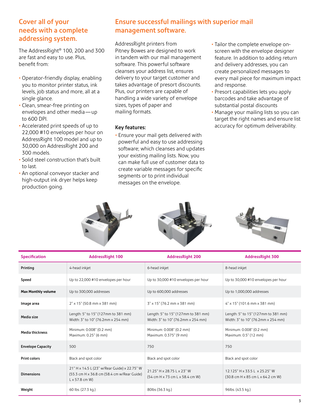### Cover all of your needs with a complete addressing system.

The AddressRight® 100, 200 and 300 are fast and easy to use. Plus, benefit from:

- Operator-friendly display, enabling you to monitor printer status, ink levels, job status and more, all at a single glance.
- Clean, smear-free printing on envelopes and other media—up to 600 DPI.
- Accelerated print speeds of up to 22,000 #10 envelopes per hour on AddressRight 100 model and up to 30,000 on AddressRight 200 and 300 models.
- Solid steel construction that's built to last.
- An optional conveyor stacker and high-output ink dryer helps keep production going.

# Ensure successful mailings with superior mail management software.

AddressRight printers from Pitney Bowes are designed to work in tandem with our mail management software. This powerful software cleanses your address list, ensures delivery to your target customer and takes advantage of presort discounts. Plus, our printers are capable of handling a wide variety of envelope sizes, types of paper and mailing formats.

### Key features:

• Ensure your mail gets delivered with powerful and easy to use addressing software; which cleanses and updates your existing mailing lists. Now, you can make full use of customer data to create variable messages for specific segments or to print individual messages on the envelope.

- Tailor the complete envelope onscreen with the envelope designer feature. In addition to adding return and delivery addresses, you can create personalized messages to every mail piece for maximum impact and response.
- Presort capabilities lets you apply barcodes and take advantage of substantial postal discounts
- Manage your mailing lists so you can target the right names and ensure list accuracy for optimum deliverability.







| <b>Specification</b>      | <b>AddressRight 100</b>                                                                                              | <b>AddressRight 200</b>                                                   | <b>AddressRight 300</b>                                                   |
|---------------------------|----------------------------------------------------------------------------------------------------------------------|---------------------------------------------------------------------------|---------------------------------------------------------------------------|
| Printing                  | 4-head inkjet                                                                                                        | 6-head inkjet                                                             | 8-head inkjet                                                             |
| Speed                     | Up to 22,000 #10 envelopes per hour                                                                                  | Up to 30,000 #10 envelopes per hour                                       | Up to 30,000 #10 envelopes per hour                                       |
| <b>Max Monthly volume</b> | Up to 300,000 addresses                                                                                              | Up to 600,000 addresses                                                   | Up to 1,000,000 addresses                                                 |
| Image area                | 2" x 15" (50.8 mm x 381 mm)                                                                                          | 3" x 15" (76.2 mm x 381 mm)                                               | 4" x 15" (101.6 mm x 381 mm)                                              |
| Media size                | Length: 5" to 15" (127mm to 381 mm)<br>Width: 3" to 10" (76.2mm x 254 mm)                                            | Length: 5" to 15" (127mm to 381 mm)<br>Width: 3" to 10" (76.2mm x 254 mm) | Length: 5" to 15" (127mm to 381 mm)<br>Width: 3" to 10" (76.2mm x 254 mm) |
| <b>Media thickness</b>    | Minimum: 0.008" (0.2 mm)<br>Maximum: 0.25" (6 mm)                                                                    | Minimum: 0.008" (0.2 mm)<br>Maximum: 0.375" (9 mm)                        | Minimum: 0.008" (0.2 mm)<br>Maximum: 0.5" (12 mm)                         |
| <b>Envelope Capacity</b>  | 500                                                                                                                  | 750                                                                       | 750                                                                       |
| <b>Print colors</b>       | Black and spot color                                                                                                 | Black and spot color                                                      | Black and spot color                                                      |
| <b>Dimensions</b>         | 21" H x 14.5 L (23" w/Rear Guide) x 22.75" W<br>(55.3 cm H x 36.8 cm (58.4 cm w/Rear Guide)<br>$L \times 57.8$ cm W) | 21.25" H x 28.75 L x 23" W<br>(54 cm H x 73 cm L x 58.4 cm W)             | 12.125" H x 33.5 L x 25.25" W<br>(30.8 cm H x 85 cm L x 64.2 cm W)        |
| Weight                    | 60 lbs. (27.3 kg.)                                                                                                   | 80lbs (36.3 kg.)                                                          | 96lbs. (43.5 kg.)                                                         |